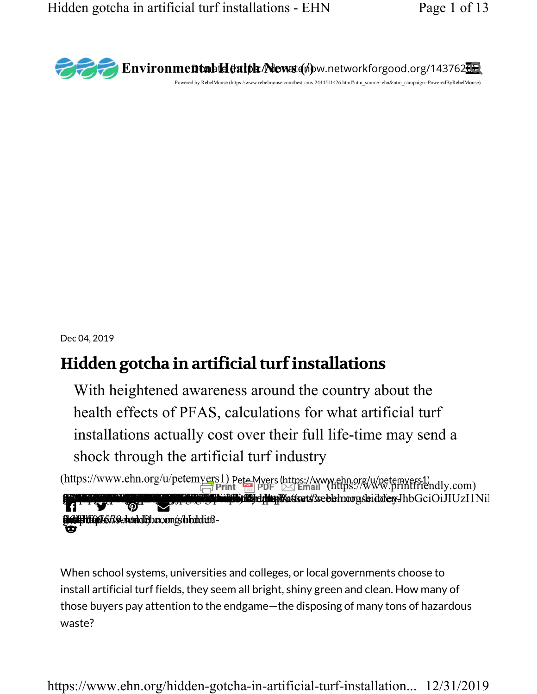

Dec 04, 2019

# Hidden gotcha in artificial turf installations

With heightened awareness around the country about the health effects of PFAS, calculations for what artificial turf installations actually cost over their full life-time may send a shock through the artificial turf industry

(https://www.ehn.org/u/petemyers1) PeteMyers (https://www.ehn.org/u/petemyers1)<br>Print Friendly.com) **Transporting the Community of the Construction of the Allen Matter to Accept in the Constant Of The Construction**<br>The Community of the Constant of the Constant of the Constant of the Constant of the Constant of the Consta - $\overline{\vee}$ (**http://www.redukth**om/s/hidden- gotto:<br>https://www.ehr.org/hidden- in-artificial-

When school systems, universities and colleges, or local governments choose to install artificial turf fields, they seem all bright, shiny green and clean. How many of those buyers pay attention to the endgame—the disposing of many tons of hazardous waste?

https://www.ehn.org/hidden-gotcha-in-artificial-turf-installation... 12/31/2019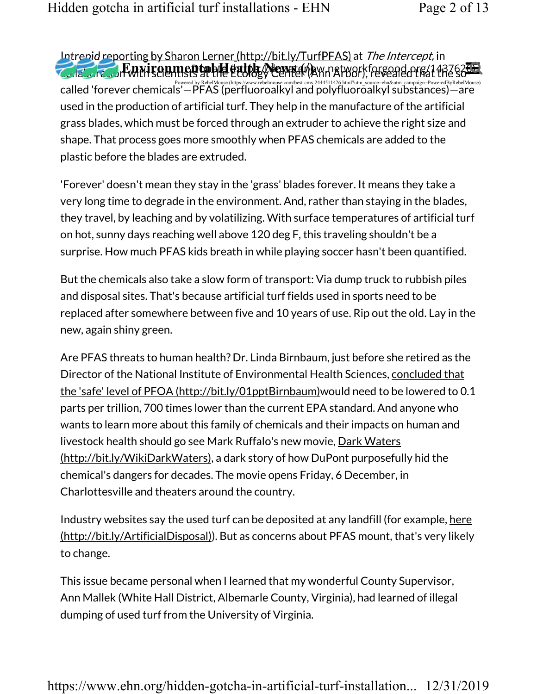Intrepid reporting by Sharon Lerner (http://bit.ly/TurfPFAS) at The Intercept, in called 'forever chemicals'—PFAS (perfluoroalkyl and polyfluoroalkyl substances)—are تمكن المسبب وتمام المسبب وتعاقب المسبب وتعاقب المسبب وتعاقب المسبب وتم المسبب وتعاقب المسبب وتم المسبب وتعاقب المسبب وتعاقب المسبب وتعاقب used in the production of artificial turf. They help in the manufacture of the artificial grass blades, which must be forced through an extruder to achieve the right size and shape. That process goes more smoothly when PFAS chemicals are added to the plastic before the blades are extruded. <u>Environmental (internative from 1735</u> at the mercept, in<br>Funnicoumental Hatter News (Maynaty orkforgood.org/14376200)

'Forever' doesn't mean they stay in the 'grass' blades forever. It means they take a very long time to degrade in the environment. And, rather than staying in the blades, they travel, by leaching and by volatilizing. With surface temperatures of artificial turf on hot, sunny days reaching well above 120 deg F, this traveling shouldn't be a surprise. How much PFAS kids breath in while playing soccer hasn't been quantified.

But the chemicals also take a slow form of transport: Via dump truck to rubbish piles and disposal sites. That's because artificial turf fields used in sports need to be replaced after somewhere between five and 10 years of use. Rip out the old. Lay in the new, again shiny green.

Are PFAS threats to human health? Dr. Linda Birnbaum, just before she retired as the Director of the National Institute of Environmental Health Sciences, concluded that the 'safe' level of PFOA (http://bit.ly/01pptBirnbaum)would need to be lowered to 0.1 parts per trillion, 700 times lower than the current EPA standard. And anyone who wants to learn more about this family of chemicals and their impacts on human and livestock health should go see Mark Ruffalo's new movie, Dark Waters (http://bit.ly/WikiDarkWaters), a dark story of how DuPont purposefully hid the chemical's dangers for decades. The movie opens Friday, 6 December, in Charlottesville and theaters around the country.

Industry websites say the used turf can be deposited at any landfill (for example, here (http://bit.ly/ArtificialDisposal)). But as concerns about PFAS mount, that's very likely to change.

This issue became personal when I learned that my wonderful County Supervisor, Ann Mallek (White Hall District, Albemarle County, Virginia), had learned of illegal dumping of used turf from the University of Virginia.

https://www.ehn.org/hidden-gotcha-in-artificial-turf-installation... 12/31/2019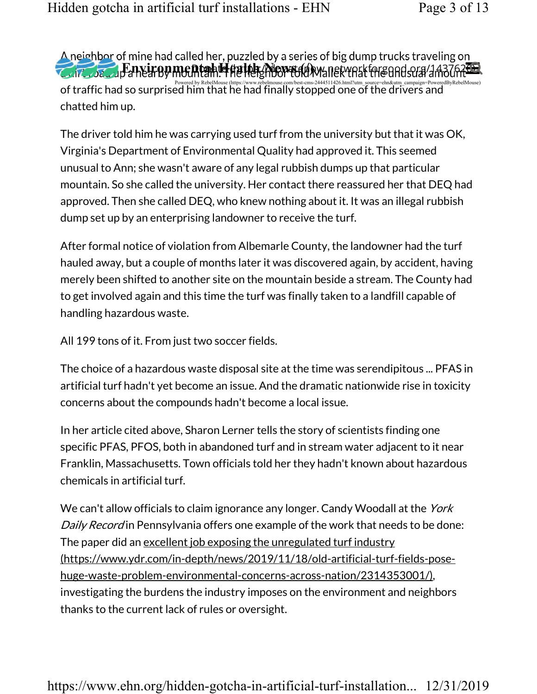of traffic had so surprised by RebelMouse (https://www.rebelmouse.com/best-cms-2444511426.html?utm\_source=ehn&utm\_campaign=PoweredByRebelMouse) معتادا por traffic had so surprised him that he had finally stopped one of th chatted him up. Thing had canca her, pazzled by a series or big damp a deks a avening on<br>Eanxironmental Health ZhowaidAwsnetworkfor and canca 743763020

The driver told him he was carrying used turf from the university but that it was OK, Virginia's Department of Environmental Quality had approved it. This seemed unusual to Ann; she wasn't aware of any legal rubbish dumps up that particular mountain. So she called the university. Her contact there reassured her that DEQ had approved. Then she called DEQ, who knew nothing about it. It was an illegal rubbish dump set up by an enterprising landowner to receive the turf.

After formal notice of violation from Albemarle County, the landowner had the turf hauled away, but a couple of months later it was discovered again, by accident, having merely been shifted to another site on the mountain beside a stream. The County had to get involved again and this time the turf was finally taken to a landfill capable of handling hazardous waste.

All 199 tons of it. From just two soccer fields.

The choice of a hazardous waste disposal site at the time was serendipitous ... PFAS in artificial turf hadn't yet become an issue. And the dramatic nationwide rise in toxicity concerns about the compounds hadn't become a local issue.

In her article cited above, Sharon Lerner tells the story of scientists finding one specific PFAS, PFOS, both in abandoned turf and in stream water adjacent to it near Franklin, Massachusetts. Town officials told her they hadn't known about hazardous chemicals in artificial turf.

We can't allow officials to claim ignorance any longer. Candy Woodall at the York Daily Record in Pennsylvania offers one example of the work that needs to be done: The paper did an excellent job exposing the unregulated turf industry (https://www.ydr.com/in-depth/news/2019/11/18/old-artificial-turf-fields-posehuge-waste-problem-environmental-concerns-across-nation/2314353001/), investigating the burdens the industry imposes on the environment and neighbors thanks to the current lack of rules or oversight.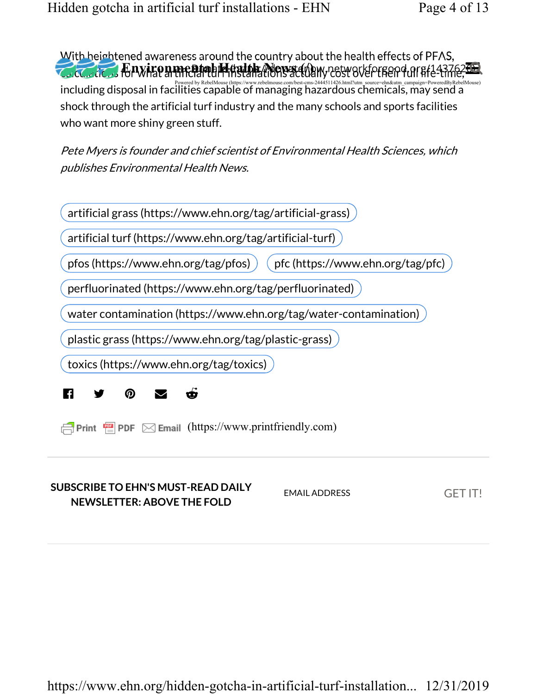including disposal in facilities capable of managing hazardous chemicals, may send a أو powered by RebelMouse<br>Including disposal in facilities capable of managing hazardous chemicals, may send a shock through the artificial turf industry and the many schools and sports facilities who want more shiny green stuff. Environment of the Sand The Country about the neath enects of 1176,

Pete Myers is founder and chief scientist of Environmental Health Sciences, which publishes Environmental Health News.

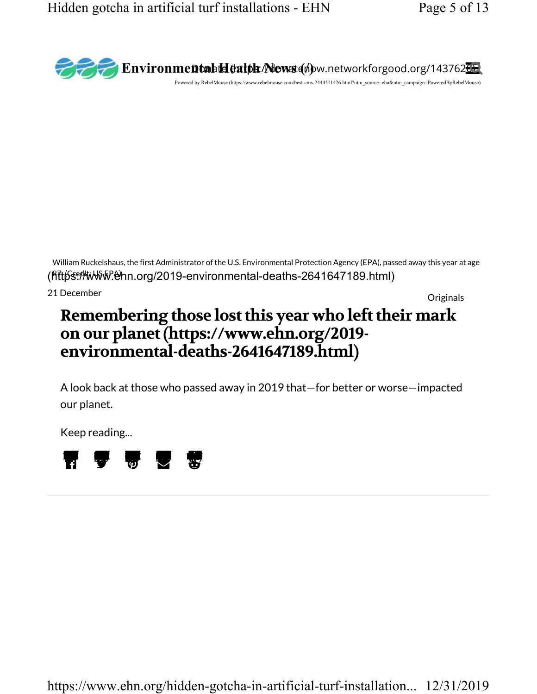

(Rttps://www.ehn.org/2019-environmental-deaths-2641647189.html) William Ruckelshaus, the first Administrator of the U.S. Environmental Protection Agency (EPA), passed away this year at age

Originals 21 December

# Remembering those lost this year who left their mark on our planet (https://www.ehn.org/2019 environmental-deaths-2641647189.html)

A look back at those who passed away in 2019 that—for better or worse—impacted our planet.

Keep reading...

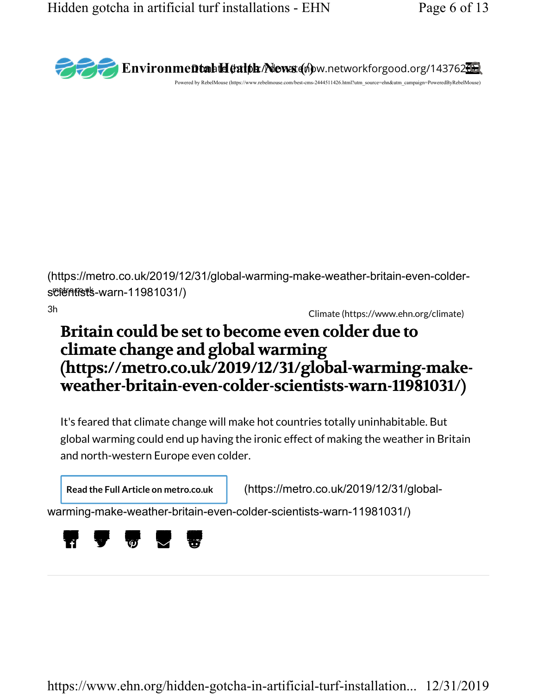

(https://metro.co.uk/2019/12/31/global-warming-make-weather-britain-even-colder $s$ cientists-warn-11981031/

Climate (https://www.ehn.org/climate) 3h

# Britain could be set to become even colder due to climate change and global warming (https://metro.co.uk/2019/12/31/global-warming-makeweather-britain-even-colder-scientists-warn-11981031/)

It's feared that climate change will make hot countries totally uninhabitable. But global warming could end up having the ironic effect of making the weather in Britain and north-western Europe even colder.

Read the Full Article on metro.co.uk (https://metro.co.uk/2019/12/31/global-

warming-make-weather-britain-even-colder-scientists-warn-11981031/)

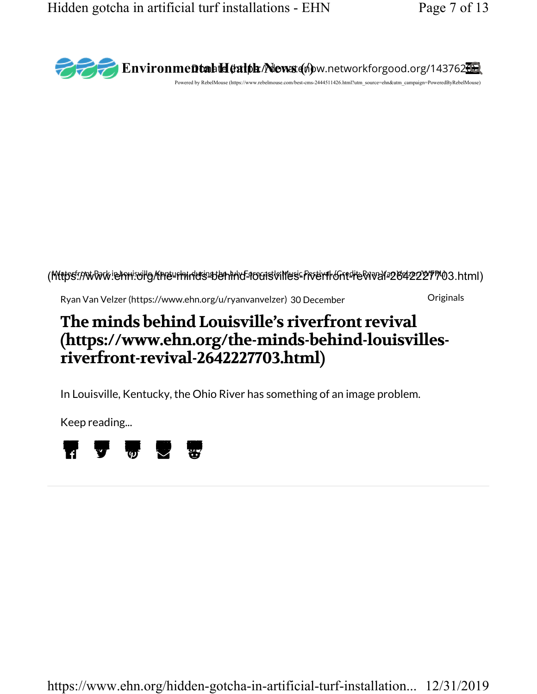

#### (https://www.ehnisvilg/the-chindristen.ind-rootsvilles-froent Gnt-revival-2642227703.html)

30 December Originals Ryan Van Velzer (https://www.ehn.org/u/ryanvanvelzer)

# The minds behind Louisville's riverfront revival (https://www.ehn.org/the-minds-behind-louisvillesriverfront-revival-2642227703.html)

In Louisville, Kentucky, the Ohio River has something of an image problem.

Keep reading...

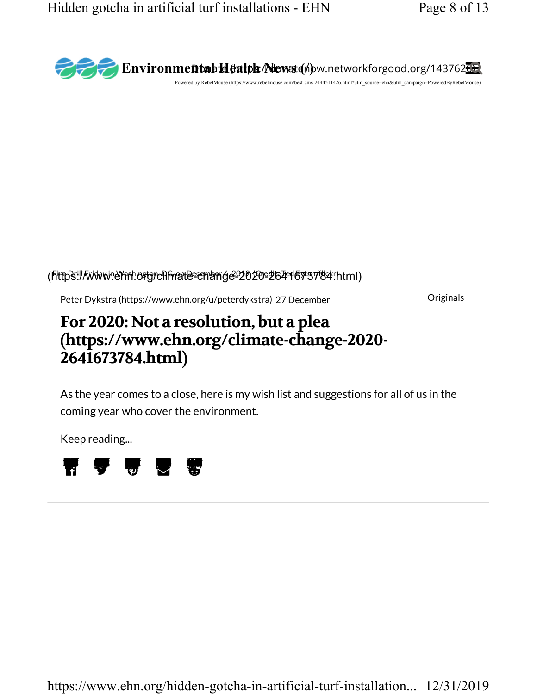

#### (http3://www.erm.org/climate-change-2020-2641673784.html)

27 December Originals Peter Dykstra (https://www.ehn.org/u/peterdykstra)

# For 2020: Not a resolution, but a plea (https://www.ehn.org/climate-change-2020- 2641673784.html)

As the year comes to a close, here is my wish list and suggestions for all of us in the coming year who cover the environment.

Keep reading...

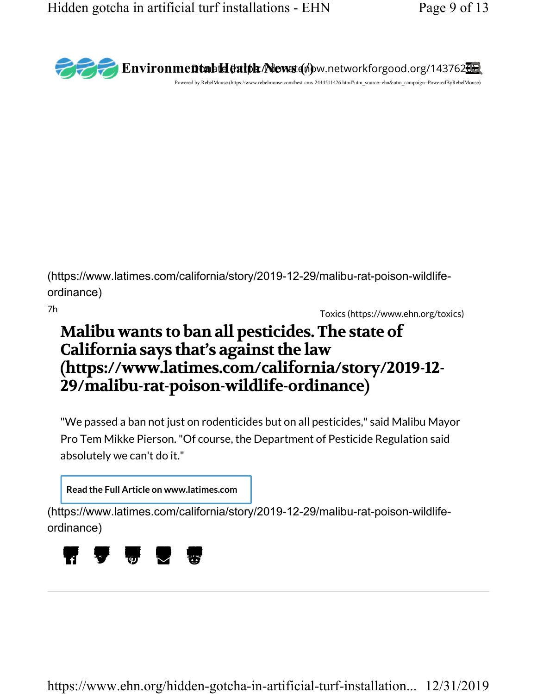

(https://www.latimes.com/california/story/2019-12-29/malibu-rat-poison-wildlifeordinance)

Toxics (https://www.ehn.org/toxics) 7h

# Malibu wants to ban all pesticides. The state of California says that's against the law (https://www.latimes.com/california/story/2019-12- 29/malibu-rat-poison-wildlife-ordinance)

"We passed a ban not just on rodenticides but on all pesticides," said Malibu Mayor Pro Tem Mikke Pierson. "Of course, the Department of Pesticide Regulation said absolutely we can't do it."

Read the Full Article on www.latimes.com

(https://www.latimes.com/california/story/2019-12-29/malibu-rat-poison-wildlifeordinance)

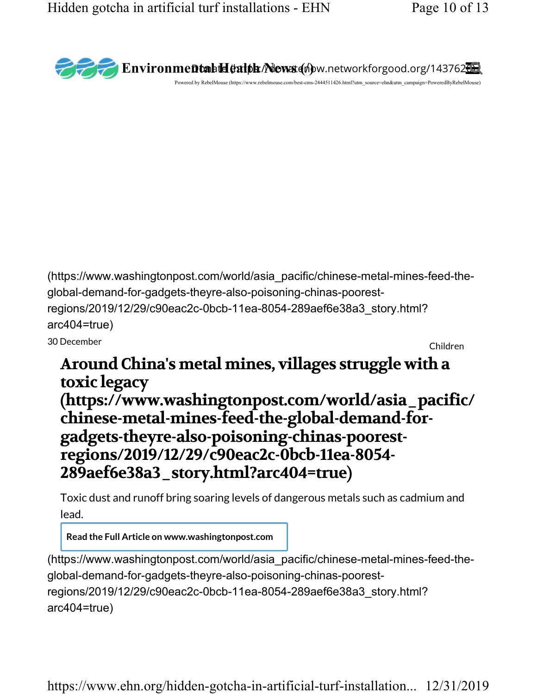

Toxic dust and runoff bring soaring levels of dangerous metals such as cadmium and lead.

Read the Full Article on www.washingtonpost.com

(https://www.washingtonpost.com/world/asia\_pacific/chinese-metal-mines-feed-theglobal-demand-for-gadgets-theyre-also-poisoning-chinas-poorestregions/2019/12/29/c90eac2c-0bcb-11ea-8054-289aef6e38a3\_story.html? arc404=true)

https://www.ehn.org/hidden-gotcha-in-artificial-turf-installation... 12/31/2019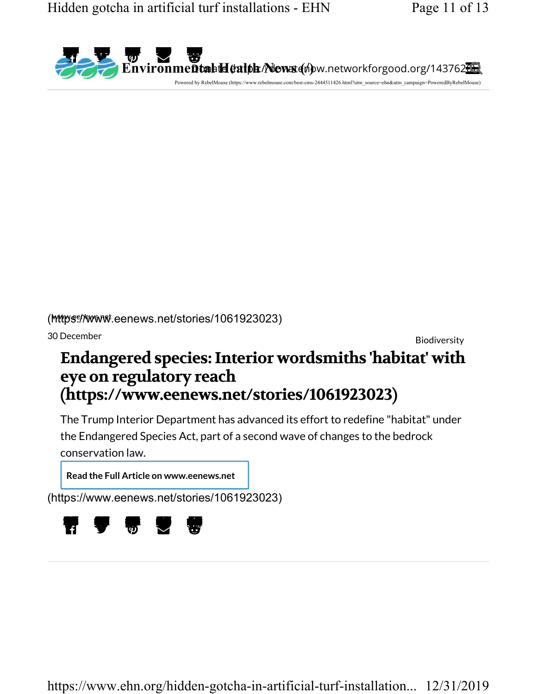

(Mttps://www.eenews.net/stories/1061923023)

Biodiversity 30 December

# Endangered species: Interior wordsmiths 'habitat' with eye on regulatory reach (https://www.eenews.net/stories/1061923023)

The Trump Interior Department has advanced its effort to redefine "habitat" under the Endangered Species Act, part of a second wave of changes to the bedrock conservation law.

Read the Full Article on www.eenews.net

(https://www.eenews.net/stories/1061923023)

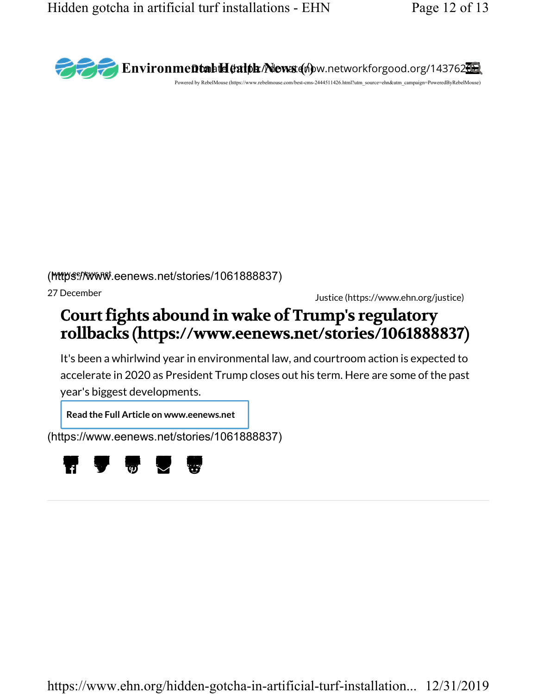

(https://www.eenews.net/stories/1061888837)

Justice (https://www.ehn.org/justice) 27 December

# Court fights abound in wake of Trump's regulatory rollbacks (https://www.eenews.net/stories/1061888837)

It's been a whirlwind year in environmental law, and courtroom action is expected to accelerate in 2020 as President Trump closes out his term. Here are some of the past year's biggest developments.

Read the Full Article on www.eenews.net

(https://www.eenews.net/stories/1061888837)